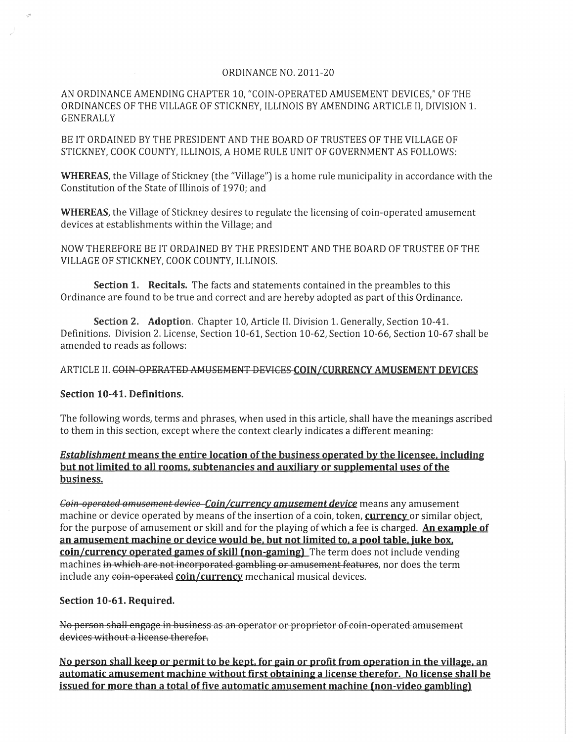### ORDINANCE NO. 2011-20

### AN ORDINANCE AMENDING CHAPTER 10, "COIN-OPERATED AMUSEMENT DEVICES," OF THE ORDINANCES OF THE VILLAGE OF STICKNEY, ILLINOIS BY AMENDING ARTICLE II, DIVISION 1. GENERALLY

BE IT ORDAINED BY THE PRESIDENT AND THE BOARD OF TRUSTEES OF THE VILLAGE OF STICKNEY, COOK COUNTY, ILLINOIS, A HOME RULE UNIT OF GOVERNMENT AS FOLLOWS:

**WHEREAS,** the Village of Stickney (the "Village") is a home rule municipality in accordance with the Constitution of the State of Illinois of 1970; and

**WHEREAS,** the Village of Stickney desires to regulate the licensing of coin-operated amusement devices at establishments within the Village; and

NOW THEREFORE BE IT ORDAINED BY THE PRESIDENT AND THE BOARD OF TRUSTEE OF THE VILLAGE OF STICKNEY, COOK COUNTY, ILLINOIS.

**Section 1. Recitals.** The facts and statements contained in the preambles to this Ordinance are found to be true and correct and are hereby adopted as part of this Ordinance.

**Section 2. Adoption.** Chapter 10, Article II. Division 1. Generally, Section 10-41. Definitions. Division 2. License, Section 10-61, Section 10-62, Section 10-66, Section 10-67 shall be amended to reads as follows:

### ARTICLE II. COIN-OPERATED AMUSEMENT DEVICES COIN/CURRENCY AMUSEMENT DEVICES

### **Section 10-41. Definitions.**

The following words, terms and phrases, when used in this article, shall have the meanings ascribed to them in this section, except where the context clearly indicates a different meaning:

## *Establishment* **means the entire location of the business operated by the licensee, including but not limited to all rooms. subtenancies and auxiliary or supplemental uses ofthe business.**

Coin-operated amusement device-Coin/currency amusement device means any amusement machine or device operated by means of the insertion of a coin, token, **currency** or similar object, for the purpose of amusement or skill and for the playing of which a fee is charged. **An example of an amusement machine or device would be. but not limited to. a pool table. juke box. coin/currency operated games of skill (non-gaming)** The term does not include vending machines in which are not incorporated gambling or amusement features, nor does the term include any coin-operated coin/currency mechanical musical devices.

### **Section 10-61. Required.**

No person shall engage in business as an operator or proprietor of coin operated amusement devices without a license therefor.

No person shall keep or permit to be kept, for gain or profit from operation in the village, an automatic amusement machine without first obtaining a license therefor. No license shall be **<u>issued for more than a total of five automatic amusement machine (non-video gambling)</u>**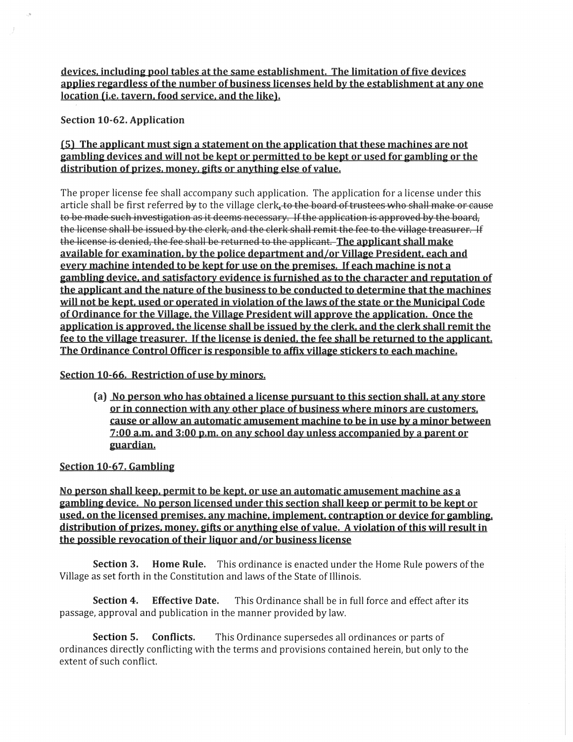devices. including pool tables at the same establishment. The limitation of five devices applies regardless of the number of business licenses held by the establishment at any one location (i.e. tavern. food service. and the like).

Section 10-62. Application

# (5) The applicant must sign a statement on the application that these machines are not gambling devices and will not be kept or permitted to be kept or used for gambling or the distribution of prizes, money, gifts or anything else of value.

The proper license fee shall accompany such application. The application for a license under this article shall be first referred by to the village clerk. to the board of trustees who shall make or cause to be made such investigation as it deems necessary. If the application is approved by the board, the license shall be issued by the clerk, and the clerk shall remit the fee to the village treasurer. If the license is denied, the fee shall be returned to the applicant. The applicant shall make available for examination. by the police department and/or Village President. each and every machine intended to be kept for use on the premises. If each machine is not a gambling device. and satisfactory evidence is furnished as to the character and reputation of the applicant and the nature of the business to be conducted to determine that the machines will not be kept. used or operated in violation of the laws of the state or the Municipal Code of Ordinance for the Village. the Village President will approve the application. Once the application is approved. the license shall be issued by the clerk. and the clerk shall remit the fee to the village treasurer. If the license is denied. the fee shall be returned to the applicant. The Ordinance Control Officer is responsible to affix village stickers to each machine.

# Section 10-66. Restriction of use by minors.

(a) No person who has obtained a license pursuant to this section shall. at any store or in connection with any other place of business where minors are customers. cause or allow an automatic amusement machine to be in use by a minor between 7:00 a.m. and 3:00 p.m. on any school day unless accompanied by a parent or guardian.

# Section 10-67. Gambling

No person shall keep. permit to be kept. or use an automatic amusement machine as a gambling device. No person licensed under this section shall keep or permit to be kept or used, on the licensed premises, any machine, implement, contraption or device for gambling. distribution of prizes. money. gifts or anything else of value. A violation of this will result in the possible revocation of their liquor and/or business license

Section 3. Home Rule. This ordinance is enacted under the Home Rule powers of the Village as set forth in the Constitution and laws of the State of Illinois.

Section 4. Effective Date. This Ordinance shall be in full force and effect after its passage, approval and publication in the manner provided by law.

Section 5. Conflicts. This Ordinance supersedes all ordinances or parts of ordinances directly conflicting with the terms and provisions contained herein, but only to the extent of such conflict.